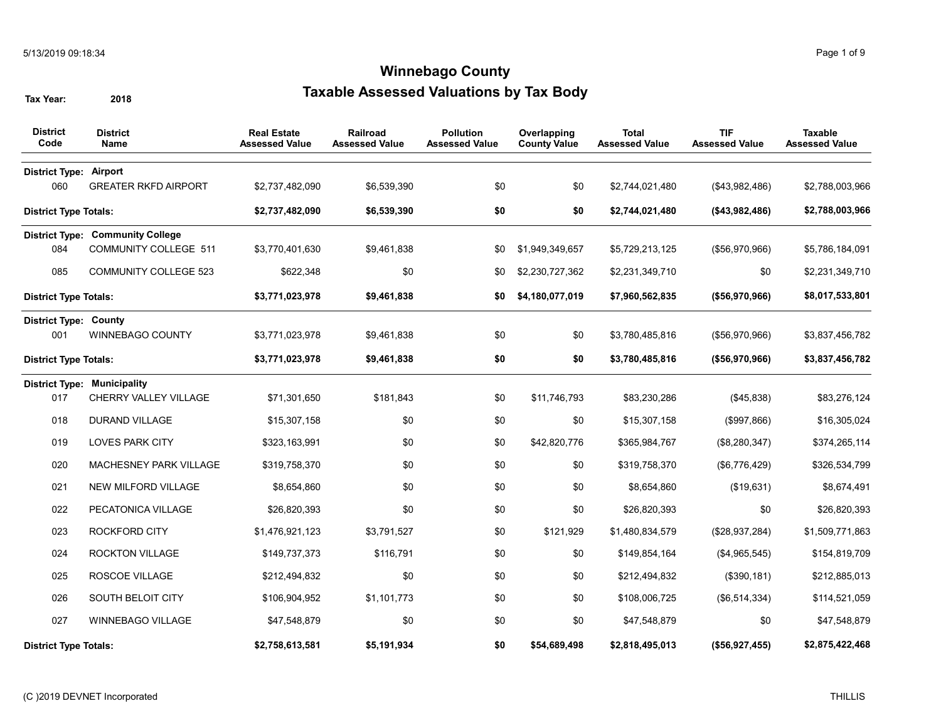| <b>District</b><br>Code       | <b>District</b><br><b>Name</b>          | <b>Real Estate</b><br><b>Assessed Value</b> | Railroad<br><b>Assessed Value</b> | <b>Pollution</b><br><b>Assessed Value</b> | Overlapping<br><b>County Value</b> | <b>Total</b><br><b>Assessed Value</b> | <b>TIF</b><br><b>Assessed Value</b> | <b>Taxable</b><br><b>Assessed Value</b> |
|-------------------------------|-----------------------------------------|---------------------------------------------|-----------------------------------|-------------------------------------------|------------------------------------|---------------------------------------|-------------------------------------|-----------------------------------------|
| <b>District Type: Airport</b> |                                         |                                             |                                   |                                           |                                    |                                       |                                     |                                         |
| 060                           | <b>GREATER RKFD AIRPORT</b>             | \$2,737,482,090                             | \$6,539,390                       | \$0                                       | \$0                                | \$2,744,021,480                       | (\$43,982,486)                      | \$2,788,003,966                         |
| <b>District Type Totals:</b>  |                                         | \$2,737,482,090                             | \$6,539,390                       | \$0                                       | \$0                                | \$2,744,021,480                       | (\$43,982,486)                      | \$2,788,003,966                         |
|                               | <b>District Type: Community College</b> |                                             |                                   |                                           |                                    |                                       |                                     |                                         |
| 084                           | <b>COMMUNITY COLLEGE 511</b>            | \$3,770,401,630                             | \$9,461,838                       | \$0                                       | \$1,949,349,657                    | \$5,729,213,125                       | (\$56,970,966)                      | \$5,786,184,091                         |
| 085                           | <b>COMMUNITY COLLEGE 523</b>            | \$622,348                                   | \$0                               | \$0                                       | \$2,230,727,362                    | \$2,231,349,710                       | \$0                                 | \$2,231,349,710                         |
| <b>District Type Totals:</b>  |                                         | \$3,771,023,978                             | \$9,461,838                       | \$0                                       | \$4,180,077,019                    | \$7,960,562,835                       | (\$56,970,966)                      | \$8,017,533,801                         |
| <b>District Type: County</b>  |                                         |                                             |                                   |                                           |                                    |                                       |                                     |                                         |
| 001                           | WINNEBAGO COUNTY                        | \$3,771,023,978                             | \$9,461,838                       | \$0                                       | \$0                                | \$3,780,485,816                       | (\$56,970,966)                      | \$3,837,456,782                         |
| <b>District Type Totals:</b>  |                                         | \$3,771,023,978                             | \$9,461,838                       | \$0                                       | \$0                                | \$3,780,485,816                       | (\$56,970,966)                      | \$3,837,456,782                         |
|                               | <b>District Type: Municipality</b>      |                                             |                                   |                                           |                                    |                                       |                                     |                                         |
| 017                           | CHERRY VALLEY VILLAGE                   | \$71,301,650                                | \$181,843                         | \$0                                       | \$11,746,793                       | \$83,230,286                          | (\$45,838)                          | \$83,276,124                            |
| 018                           | <b>DURAND VILLAGE</b>                   | \$15,307,158                                | \$0                               | \$0                                       | \$0                                | \$15,307,158                          | (\$997,866)                         | \$16,305,024                            |
| 019                           | <b>LOVES PARK CITY</b>                  | \$323,163,991                               | \$0                               | \$0                                       | \$42,820,776                       | \$365,984,767                         | (\$8,280,347)                       | \$374,265,114                           |
| 020                           | MACHESNEY PARK VILLAGE                  | \$319,758,370                               | \$0                               | \$0                                       | \$0                                | \$319,758,370                         | (\$6,776,429)                       | \$326,534,799                           |
| 021                           | NEW MILFORD VILLAGE                     | \$8,654,860                                 | \$0                               | \$0                                       | \$0                                | \$8,654,860                           | (\$19,631)                          | \$8,674,491                             |
| 022                           | PECATONICA VILLAGE                      | \$26,820,393                                | \$0                               | \$0                                       | \$0                                | \$26,820,393                          | \$0                                 | \$26,820,393                            |
| 023                           | ROCKFORD CITY                           | \$1,476,921,123                             | \$3,791,527                       | \$0                                       | \$121,929                          | \$1,480,834,579                       | (\$28,937,284)                      | \$1,509,771,863                         |
| 024                           | <b>ROCKTON VILLAGE</b>                  | \$149,737,373                               | \$116,791                         | \$0                                       | \$0                                | \$149,854,164                         | (\$4,965,545)                       | \$154,819,709                           |
| 025                           | ROSCOE VILLAGE                          | \$212,494,832                               | \$0                               | \$0                                       | \$0                                | \$212,494,832                         | (\$390, 181)                        | \$212,885,013                           |
| 026                           | SOUTH BELOIT CITY                       | \$106,904,952                               | \$1,101,773                       | \$0                                       | \$0                                | \$108,006,725                         | (\$6,514,334)                       | \$114,521,059                           |
| 027                           | WINNEBAGO VILLAGE                       | \$47,548,879                                | \$0                               | \$0                                       | \$0                                | \$47,548,879                          | \$0                                 | \$47,548,879                            |
| <b>District Type Totals:</b>  |                                         | \$2,758,613,581                             | \$5,191,934                       | \$0                                       | \$54,689,498                       | \$2,818,495,013                       | (\$56,927,455)                      | \$2,875,422,468                         |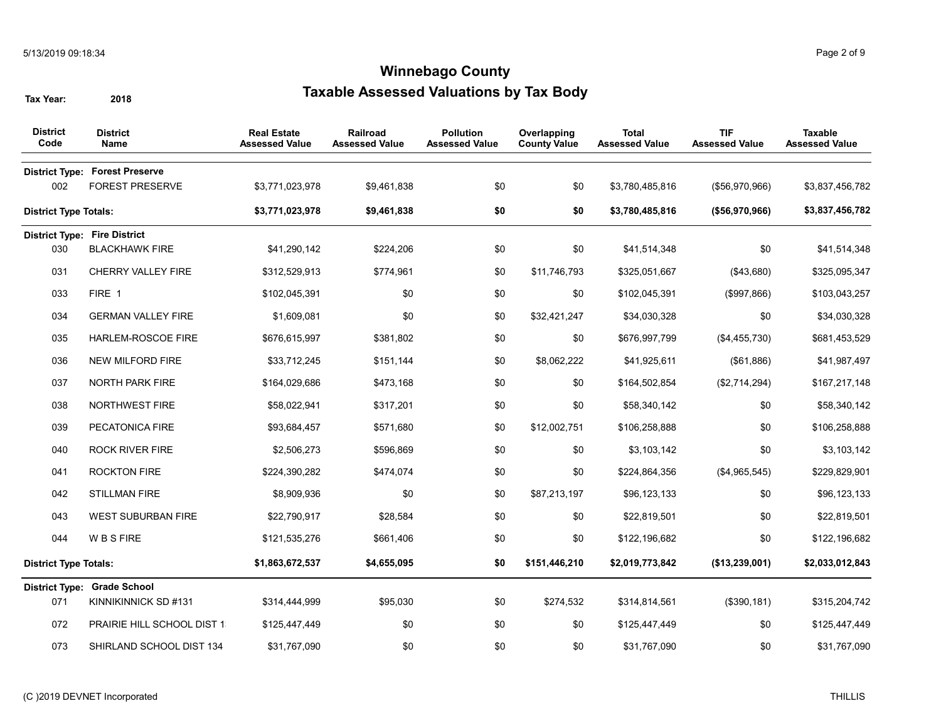| <b>District</b><br>Code      | <b>District</b><br>Name                                         | <b>Real Estate</b><br><b>Assessed Value</b> | <b>Railroad</b><br><b>Assessed Value</b> | <b>Pollution</b><br><b>Assessed Value</b> | Overlapping<br><b>County Value</b> | <b>Total</b><br><b>Assessed Value</b> | <b>TIF</b><br><b>Assessed Value</b> | <b>Taxable</b><br><b>Assessed Value</b> |
|------------------------------|-----------------------------------------------------------------|---------------------------------------------|------------------------------------------|-------------------------------------------|------------------------------------|---------------------------------------|-------------------------------------|-----------------------------------------|
| 002                          | <b>District Type: Forest Preserve</b><br><b>FOREST PRESERVE</b> | \$3,771,023,978                             | \$9,461,838                              | \$0                                       | \$0                                | \$3,780,485,816                       | (\$56,970,966)                      | \$3,837,456,782                         |
| <b>District Type Totals:</b> |                                                                 | \$3,771,023,978                             | \$9,461,838                              | \$0                                       | \$0                                | \$3,780,485,816                       | (\$56,970,966)                      | \$3,837,456,782                         |
|                              | <b>District Type: Fire District</b>                             |                                             |                                          |                                           |                                    |                                       |                                     |                                         |
| 030                          | <b>BLACKHAWK FIRE</b>                                           | \$41,290,142                                | \$224,206                                | \$0                                       | \$0                                | \$41,514,348                          | \$0                                 | \$41,514,348                            |
| 031                          | <b>CHERRY VALLEY FIRE</b>                                       | \$312,529,913                               | \$774,961                                | \$0                                       | \$11,746,793                       | \$325,051,667                         | ( \$43,680)                         | \$325,095,347                           |
| 033                          | FIRE 1                                                          | \$102,045,391                               | \$0                                      | \$0                                       | \$0                                | \$102,045,391                         | (\$997,866)                         | \$103,043,257                           |
| 034                          | <b>GERMAN VALLEY FIRE</b>                                       | \$1,609,081                                 | \$0                                      | \$0                                       | \$32,421,247                       | \$34,030,328                          | \$0                                 | \$34,030,328                            |
| 035                          | HARLEM-ROSCOE FIRE                                              | \$676,615,997                               | \$381,802                                | \$0                                       | \$0                                | \$676,997,799                         | (\$4,455,730)                       | \$681,453,529                           |
| 036                          | NEW MILFORD FIRE                                                | \$33,712,245                                | \$151,144                                | \$0                                       | \$8,062,222                        | \$41,925,611                          | (\$61,886)                          | \$41,987,497                            |
| 037                          | <b>NORTH PARK FIRE</b>                                          | \$164,029,686                               | \$473,168                                | \$0                                       | \$0                                | \$164,502,854                         | (\$2,714,294)                       | \$167,217,148                           |
| 038                          | NORTHWEST FIRE                                                  | \$58,022,941                                | \$317,201                                | \$0                                       | \$0                                | \$58,340,142                          | \$0                                 | \$58,340,142                            |
| 039                          | PECATONICA FIRE                                                 | \$93,684,457                                | \$571,680                                | \$0                                       | \$12,002,751                       | \$106,258,888                         | \$0                                 | \$106,258,888                           |
| 040                          | <b>ROCK RIVER FIRE</b>                                          | \$2,506,273                                 | \$596,869                                | \$0                                       | \$0                                | \$3,103,142                           | \$0                                 | \$3,103,142                             |
| 041                          | <b>ROCKTON FIRE</b>                                             | \$224,390,282                               | \$474,074                                | \$0                                       | \$0                                | \$224,864,356                         | (\$4,965,545)                       | \$229,829,901                           |
| 042                          | <b>STILLMAN FIRE</b>                                            | \$8,909,936                                 | \$0                                      | \$0                                       | \$87,213,197                       | \$96,123,133                          | \$0                                 | \$96,123,133                            |
| 043                          | <b>WEST SUBURBAN FIRE</b>                                       | \$22,790,917                                | \$28,584                                 | \$0                                       | \$0                                | \$22,819,501                          | \$0                                 | \$22,819,501                            |
| 044                          | <b>WBSFIRE</b>                                                  | \$121,535,276                               | \$661,406                                | \$0                                       | \$0                                | \$122,196,682                         | \$0                                 | \$122,196,682                           |
| <b>District Type Totals:</b> |                                                                 | \$1,863,672,537                             | \$4,655,095                              | \$0                                       | \$151,446,210                      | \$2,019,773,842                       | (\$13,239,001)                      | \$2,033,012,843                         |
|                              | <b>District Type: Grade School</b>                              |                                             |                                          |                                           |                                    |                                       |                                     |                                         |
| 071                          | KINNIKINNICK SD #131                                            | \$314,444,999                               | \$95,030                                 | \$0                                       | \$274,532                          | \$314,814,561                         | (\$390, 181)                        | \$315,204,742                           |
| 072                          | PRAIRIE HILL SCHOOL DIST 1                                      | \$125,447,449                               | \$0                                      | \$0                                       | \$0                                | \$125,447,449                         | \$0                                 | \$125,447,449                           |
| 073                          | SHIRLAND SCHOOL DIST 134                                        | \$31,767,090                                | \$0                                      | \$0                                       | \$0                                | \$31,767,090                          | \$0                                 | \$31,767,090                            |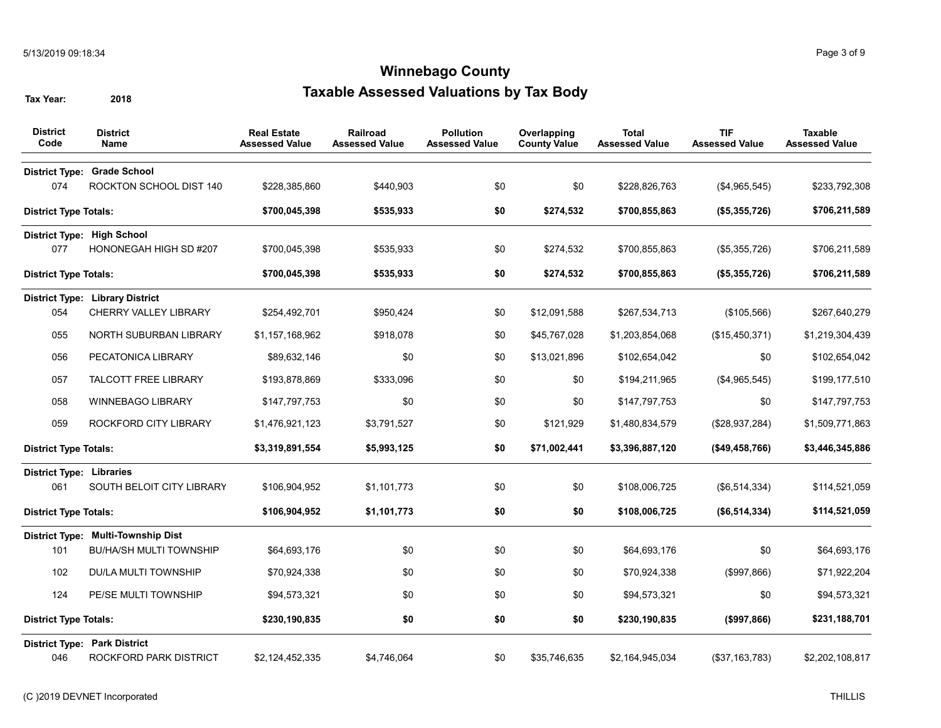| <b>District</b><br>Code         | <b>District</b><br><b>Name</b>         | <b>Real Estate</b><br><b>Assessed Value</b> | Railroad<br><b>Assessed Value</b> | <b>Pollution</b><br><b>Assessed Value</b> | Overlapping<br><b>County Value</b> | <b>Total</b><br><b>Assessed Value</b> | <b>TIF</b><br><b>Assessed Value</b> | <b>Taxable</b><br><b>Assessed Value</b> |
|---------------------------------|----------------------------------------|---------------------------------------------|-----------------------------------|-------------------------------------------|------------------------------------|---------------------------------------|-------------------------------------|-----------------------------------------|
| <b>District Type:</b>           | <b>Grade School</b>                    |                                             |                                   |                                           |                                    |                                       |                                     |                                         |
| 074                             | ROCKTON SCHOOL DIST 140                | \$228,385,860                               | \$440,903                         | \$0                                       | \$0                                | \$228,826,763                         | (\$4,965,545)                       | \$233,792,308                           |
| <b>District Type Totals:</b>    |                                        | \$700,045,398                               | \$535,933                         | \$0                                       | \$274,532                          | \$700,855,863                         | (\$5,355,726)                       | \$706,211,589                           |
|                                 | District Type: High School             |                                             |                                   |                                           |                                    |                                       |                                     |                                         |
| 077                             | HONONEGAH HIGH SD #207                 | \$700,045,398                               | \$535,933                         | \$0                                       | \$274,532                          | \$700,855,863                         | (\$5,355,726)                       | \$706,211,589                           |
| <b>District Type Totals:</b>    |                                        | \$700,045,398                               | \$535,933                         | \$0                                       | \$274,532                          | \$700,855,863                         | (\$5,355,726)                       | \$706,211,589                           |
|                                 | <b>District Type: Library District</b> |                                             |                                   |                                           |                                    |                                       |                                     |                                         |
| 054                             | <b>CHERRY VALLEY LIBRARY</b>           | \$254,492,701                               | \$950,424                         | \$0                                       | \$12,091,588                       | \$267,534,713                         | (\$105,566)                         | \$267,640,279                           |
| 055                             | NORTH SUBURBAN LIBRARY                 | \$1,157,168,962                             | \$918,078                         | \$0                                       | \$45,767,028                       | \$1,203,854,068                       | (\$15,450,371)                      | \$1,219,304,439                         |
| 056                             | PECATONICA LIBRARY                     | \$89,632,146                                | \$0                               | \$0                                       | \$13,021,896                       | \$102,654,042                         | \$0                                 | \$102,654,042                           |
| 057                             | <b>TALCOTT FREE LIBRARY</b>            | \$193,878,869                               | \$333,096                         | \$0                                       | \$0                                | \$194,211,965                         | (\$4,965,545)                       | \$199,177,510                           |
| 058                             | <b>WINNEBAGO LIBRARY</b>               | \$147,797,753                               | \$0                               | \$0                                       | \$0                                | \$147,797,753                         | \$0                                 | \$147,797,753                           |
| 059                             | ROCKFORD CITY LIBRARY                  | \$1,476,921,123                             | \$3,791,527                       | \$0                                       | \$121,929                          | \$1,480,834,579                       | (\$28,937,284)                      | \$1,509,771,863                         |
| <b>District Type Totals:</b>    |                                        | \$3,319,891,554                             | \$5,993,125                       | \$0                                       | \$71,002,441                       | \$3,396,887,120                       | $($ \$49,458,766)                   | \$3,446,345,886                         |
| <b>District Type: Libraries</b> |                                        |                                             |                                   |                                           |                                    |                                       |                                     |                                         |
| 061                             | SOUTH BELOIT CITY LIBRARY              | \$106,904,952                               | \$1,101,773                       | \$0                                       | \$0                                | \$108,006,725                         | (\$6,514,334)                       | \$114,521,059                           |
| <b>District Type Totals:</b>    |                                        | \$106,904,952                               | \$1,101,773                       | \$0                                       | \$0                                | \$108,006,725                         | (\$6,514,334)                       | \$114,521,059                           |
|                                 | District Type: Multi-Township Dist     |                                             |                                   |                                           |                                    |                                       |                                     |                                         |
| 101                             | <b>BU/HA/SH MULTI TOWNSHIP</b>         | \$64,693,176                                | \$0                               | \$0                                       | \$0                                | \$64,693,176                          | \$0                                 | \$64,693,176                            |
| 102                             | DU/LA MULTI TOWNSHIP                   | \$70,924,338                                | \$0                               | \$0                                       | \$0                                | \$70,924,338                          | (\$997,866)                         | \$71,922,204                            |
| 124                             | PE/SE MULTI TOWNSHIP                   | \$94,573,321                                | \$0                               | \$0                                       | \$0                                | \$94,573,321                          | \$0                                 | \$94,573,321                            |
| <b>District Type Totals:</b>    |                                        | \$230,190,835                               | \$0                               | \$0                                       | \$0                                | \$230,190,835                         | (\$997,866)                         | \$231,188,701                           |
|                                 | <b>District Type: Park District</b>    |                                             |                                   |                                           |                                    |                                       |                                     |                                         |
| 046                             | ROCKFORD PARK DISTRICT                 | \$2,124,452,335                             | \$4,746,064                       | \$0                                       | \$35,746,635                       | \$2,164,945,034                       | ( \$37, 163, 783)                   | \$2,202,108,817                         |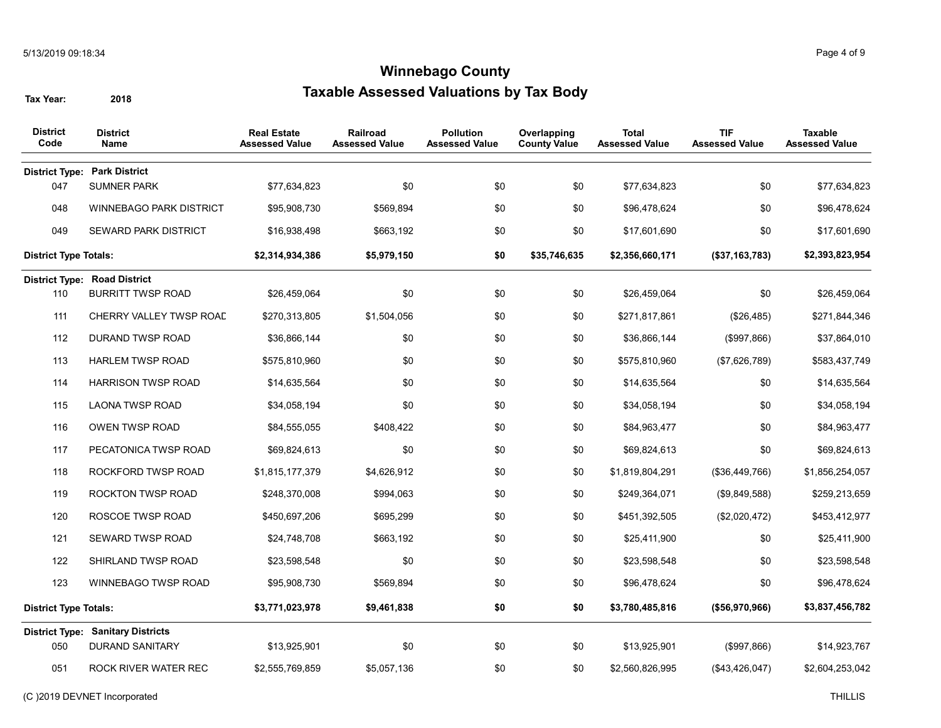| <b>District</b><br>Code      | <b>District</b><br>Name                  | <b>Real Estate</b><br><b>Assessed Value</b> | <b>Railroad</b><br><b>Assessed Value</b> | <b>Pollution</b><br><b>Assessed Value</b> | Overlapping<br><b>County Value</b> | <b>Total</b><br><b>Assessed Value</b> | <b>TIF</b><br><b>Assessed Value</b> | <b>Taxable</b><br><b>Assessed Value</b> |
|------------------------------|------------------------------------------|---------------------------------------------|------------------------------------------|-------------------------------------------|------------------------------------|---------------------------------------|-------------------------------------|-----------------------------------------|
|                              | <b>District Type: Park District</b>      |                                             |                                          |                                           |                                    |                                       |                                     |                                         |
| 047                          | <b>SUMNER PARK</b>                       | \$77,634,823                                | \$0                                      | \$0                                       | \$0                                | \$77,634,823                          | \$0                                 | \$77,634,823                            |
| 048                          | <b>WINNEBAGO PARK DISTRICT</b>           | \$95,908,730                                | \$569,894                                | \$0                                       | \$0                                | \$96,478,624                          | \$0                                 | \$96,478,624                            |
| 049                          | <b>SEWARD PARK DISTRICT</b>              | \$16,938,498                                | \$663,192                                | \$0                                       | \$0                                | \$17,601,690                          | \$0                                 | \$17,601,690                            |
| <b>District Type Totals:</b> |                                          | \$2,314,934,386                             | \$5,979,150                              | \$0                                       | \$35,746,635                       | \$2,356,660,171                       | (\$37,163,783)                      | \$2,393,823,954                         |
|                              | <b>District Type: Road District</b>      |                                             |                                          |                                           |                                    |                                       |                                     |                                         |
| 110                          | <b>BURRITT TWSP ROAD</b>                 | \$26,459,064                                | \$0                                      | \$0                                       | \$0                                | \$26,459,064                          | \$0                                 | \$26,459,064                            |
| 111                          | CHERRY VALLEY TWSP ROAD                  | \$270,313,805                               | \$1,504,056                              | \$0                                       | \$0                                | \$271,817,861                         | (\$26,485)                          | \$271,844,346                           |
| 112                          | <b>DURAND TWSP ROAD</b>                  | \$36,866,144                                | \$0                                      | \$0                                       | \$0                                | \$36,866,144                          | (\$997,866)                         | \$37,864,010                            |
| 113                          | <b>HARLEM TWSP ROAD</b>                  | \$575,810,960                               | \$0                                      | \$0                                       | \$0                                | \$575,810,960                         | (\$7,626,789)                       | \$583,437,749                           |
| 114                          | <b>HARRISON TWSP ROAD</b>                | \$14,635,564                                | \$0                                      | \$0                                       | \$0                                | \$14,635,564                          | \$0                                 | \$14,635,564                            |
| 115                          | <b>LAONA TWSP ROAD</b>                   | \$34,058,194                                | \$0                                      | \$0                                       | \$0                                | \$34,058,194                          | \$0                                 | \$34,058,194                            |
| 116                          | OWEN TWSP ROAD                           | \$84,555,055                                | \$408,422                                | \$0                                       | \$0                                | \$84,963,477                          | \$0                                 | \$84,963,477                            |
| 117                          | PECATONICA TWSP ROAD                     | \$69,824,613                                | \$0                                      | \$0                                       | \$0                                | \$69,824,613                          | \$0                                 | \$69,824,613                            |
| 118                          | ROCKFORD TWSP ROAD                       | \$1,815,177,379                             | \$4,626,912                              | \$0                                       | \$0                                | \$1,819,804,291                       | (\$36,449,766)                      | \$1,856,254,057                         |
| 119                          | <b>ROCKTON TWSP ROAD</b>                 | \$248,370,008                               | \$994,063                                | \$0                                       | \$0                                | \$249,364,071                         | (\$9,849,588)                       | \$259,213,659                           |
| 120                          | ROSCOE TWSP ROAD                         | \$450,697,206                               | \$695,299                                | \$0                                       | \$0                                | \$451,392,505                         | (\$2,020,472)                       | \$453,412,977                           |
| 121                          | SEWARD TWSP ROAD                         | \$24,748,708                                | \$663,192                                | \$0                                       | \$0                                | \$25,411,900                          | \$0                                 | \$25,411,900                            |
| 122                          | SHIRLAND TWSP ROAD                       | \$23,598,548                                | \$0                                      | \$0                                       | \$0                                | \$23,598,548                          | \$0                                 | \$23,598,548                            |
| 123                          | WINNEBAGO TWSP ROAD                      | \$95,908,730                                | \$569,894                                | \$0                                       | \$0                                | \$96,478,624                          | \$0                                 | \$96,478,624                            |
| <b>District Type Totals:</b> |                                          | \$3,771,023,978                             | \$9,461,838                              | \$0                                       | \$0                                | \$3,780,485,816                       | (\$56,970,966)                      | \$3,837,456,782                         |
|                              | <b>District Type: Sanitary Districts</b> |                                             |                                          |                                           |                                    |                                       |                                     |                                         |
| 050                          | <b>DURAND SANITARY</b>                   | \$13,925,901                                | \$0                                      | \$0                                       | \$0                                | \$13,925,901                          | (\$997,866)                         | \$14,923,767                            |
| 051                          | ROCK RIVER WATER REC                     | \$2,555,769,859                             | \$5,057,136                              | \$0                                       | \$0                                | \$2,560,826,995                       | (\$43,426,047)                      | \$2,604,253,042                         |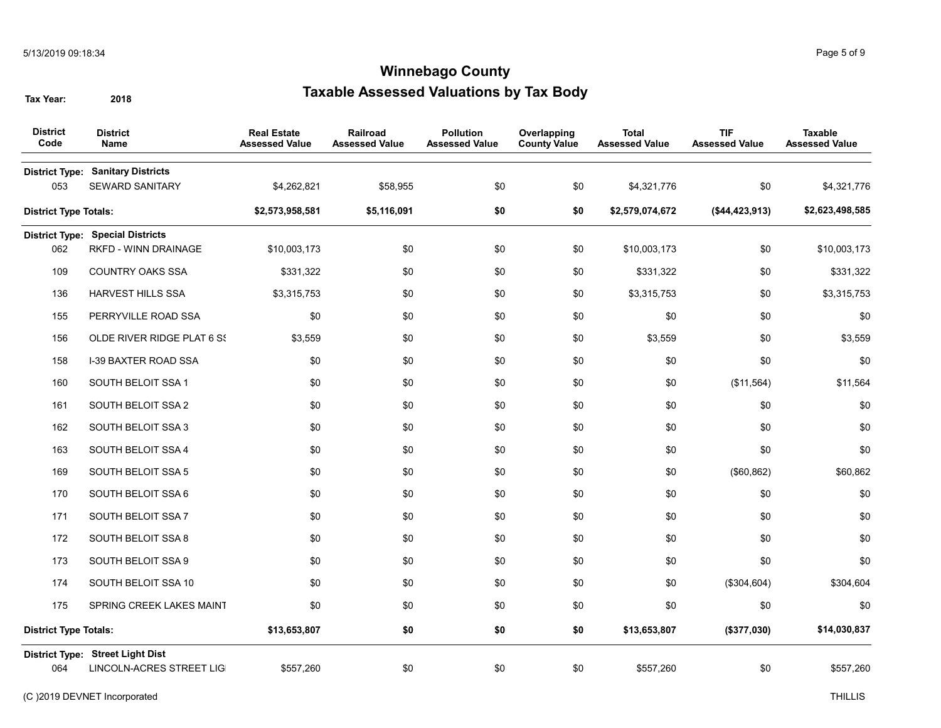| <b>District</b><br>Code      | <b>District</b><br><b>Name</b>                               | <b>Real Estate</b><br><b>Assessed Value</b> | Railroad<br><b>Assessed Value</b> | <b>Pollution</b><br><b>Assessed Value</b> | Overlapping<br><b>County Value</b> | <b>Total</b><br><b>Assessed Value</b> | <b>TIF</b><br><b>Assessed Value</b> | <b>Taxable</b><br><b>Assessed Value</b> |
|------------------------------|--------------------------------------------------------------|---------------------------------------------|-----------------------------------|-------------------------------------------|------------------------------------|---------------------------------------|-------------------------------------|-----------------------------------------|
| <b>District Type:</b><br>053 | <b>Sanitary Districts</b><br><b>SEWARD SANITARY</b>          | \$4,262,821                                 | \$58,955                          | \$0                                       | \$0                                | \$4,321,776                           | \$0                                 | \$4,321,776                             |
| <b>District Type Totals:</b> |                                                              | \$2,573,958,581                             | \$5,116,091                       | \$0                                       | \$0                                | \$2,579,074,672                       | (\$44,423,913)                      | \$2,623,498,585                         |
|                              | <b>District Type: Special Districts</b>                      |                                             |                                   |                                           |                                    |                                       |                                     |                                         |
| 062                          | RKFD - WINN DRAINAGE                                         | \$10,003,173                                | \$0                               | \$0                                       | \$0                                | \$10,003,173                          | \$0                                 | \$10,003,173                            |
| 109                          | <b>COUNTRY OAKS SSA</b>                                      | \$331,322                                   | \$0                               | \$0                                       | \$0                                | \$331,322                             | \$0                                 | \$331,322                               |
| 136                          | <b>HARVEST HILLS SSA</b>                                     | \$3,315,753                                 | \$0                               | \$0                                       | \$0                                | \$3,315,753                           | \$0                                 | \$3,315,753                             |
| 155                          | PERRYVILLE ROAD SSA                                          | \$0                                         | \$0                               | \$0                                       | \$0                                | \$0                                   | \$0                                 | \$0                                     |
| 156                          | OLDE RIVER RIDGE PLAT 6 SS                                   | \$3,559                                     | \$0                               | \$0                                       | \$0                                | \$3,559                               | \$0                                 | \$3,559                                 |
| 158                          | <b>I-39 BAXTER ROAD SSA</b>                                  | \$0                                         | \$0                               | \$0                                       | \$0                                | \$0                                   | \$0                                 | \$0                                     |
| 160                          | SOUTH BELOIT SSA 1                                           | \$0                                         | \$0                               | \$0                                       | \$0                                | \$0                                   | (\$11,564)                          | \$11,564                                |
| 161                          | SOUTH BELOIT SSA 2                                           | \$0                                         | \$0                               | \$0                                       | \$0                                | \$0                                   | \$0                                 | \$0                                     |
| 162                          | SOUTH BELOIT SSA 3                                           | \$0                                         | \$0                               | \$0                                       | \$0                                | \$0                                   | \$0                                 | \$0                                     |
| 163                          | SOUTH BELOIT SSA 4                                           | \$0                                         | \$0                               | \$0                                       | \$0                                | \$0                                   | \$0                                 | \$0                                     |
| 169                          | SOUTH BELOIT SSA 5                                           | \$0                                         | \$0                               | \$0                                       | \$0                                | \$0                                   | (\$60, 862)                         | \$60,862                                |
| 170                          | SOUTH BELOIT SSA 6                                           | \$0                                         | \$0                               | \$0                                       | \$0                                | \$0                                   | \$0                                 | \$0                                     |
| 171                          | SOUTH BELOIT SSA 7                                           | \$0                                         | \$0                               | \$0                                       | \$0                                | \$0                                   | \$0                                 | \$0                                     |
| 172                          | SOUTH BELOIT SSA 8                                           | \$0                                         | \$0                               | \$0                                       | \$0                                | \$0                                   | \$0                                 | \$0                                     |
| 173                          | SOUTH BELOIT SSA 9                                           | \$0                                         | \$0                               | \$0                                       | \$0                                | \$0                                   | \$0                                 | \$0                                     |
| 174                          | SOUTH BELOIT SSA 10                                          | \$0                                         | \$0                               | \$0                                       | \$0                                | \$0                                   | (\$304,604)                         | \$304,604                               |
| 175                          | SPRING CREEK LAKES MAINT                                     | \$0                                         | \$0                               | \$0                                       | \$0                                | \$0                                   | \$0                                 | \$0                                     |
| <b>District Type Totals:</b> |                                                              | \$13,653,807                                | \$0                               | \$0                                       | \$0                                | \$13,653,807                          | (\$377,030)                         | \$14,030,837                            |
| 064                          | District Type: Street Light Dist<br>LINCOLN-ACRES STREET LIG | \$557,260                                   | \$0                               | \$0                                       | \$0                                | \$557,260                             | \$0                                 | \$557,260                               |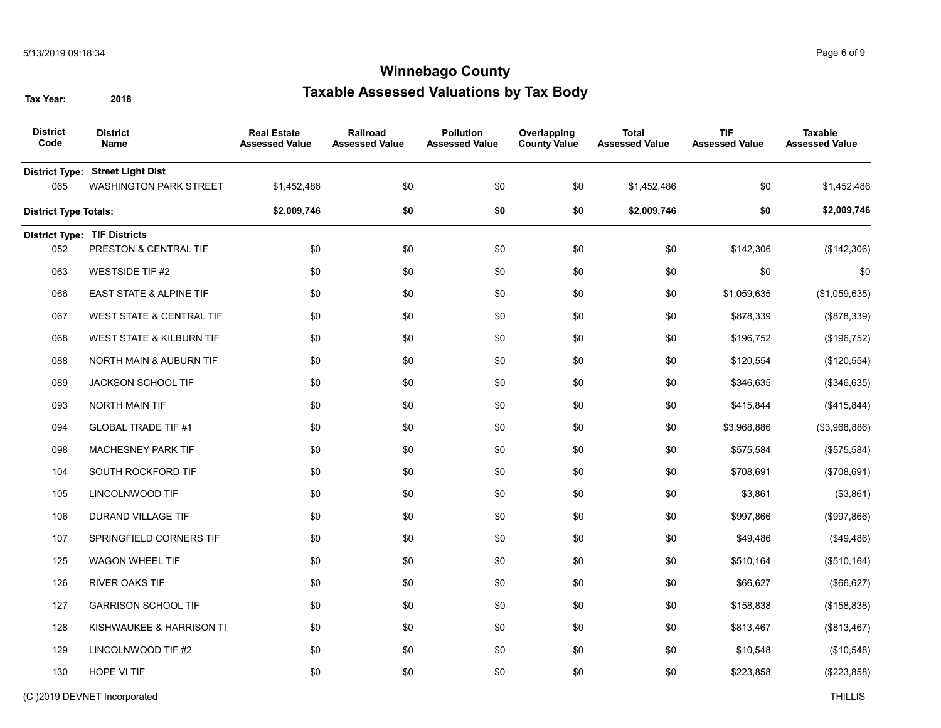| <b>District</b><br>Name             | <b>Real Estate</b><br><b>Assessed Value</b> | Railroad<br><b>Assessed Value</b> | <b>Pollution</b><br><b>Assessed Value</b> | Overlapping<br><b>County Value</b> | <b>Total</b><br><b>Assessed Value</b> | <b>TIF</b><br><b>Assessed Value</b> | <b>Taxable</b><br><b>Assessed Value</b> |
|-------------------------------------|---------------------------------------------|-----------------------------------|-------------------------------------------|------------------------------------|---------------------------------------|-------------------------------------|-----------------------------------------|
|                                     |                                             |                                   |                                           |                                    |                                       |                                     |                                         |
| WASHINGTON PARK STREET              | \$1,452,486                                 | \$0                               | \$0                                       | \$0                                | \$1,452,486                           | \$0                                 | \$1,452,486                             |
| <b>District Type Totals:</b>        | \$2,009,746                                 | \$0                               | \$0                                       | \$0                                | \$2,009,746                           | \$0                                 | \$2,009,746                             |
| <b>District Type: TIF Districts</b> |                                             |                                   |                                           |                                    |                                       |                                     |                                         |
| PRESTON & CENTRAL TIF               | \$0                                         | \$0                               | \$0                                       | \$0                                | \$0                                   | \$142,306                           | (\$142,306)                             |
| <b>WESTSIDE TIF #2</b>              | \$0                                         | \$0                               | \$0                                       | \$0                                | \$0                                   | \$0                                 | \$0                                     |
| <b>EAST STATE &amp; ALPINE TIF</b>  | \$0                                         | \$0                               | \$0                                       | \$0                                | \$0                                   | \$1,059,635                         | (\$1,059,635)                           |
| <b>WEST STATE &amp; CENTRAL TIF</b> | \$0                                         | \$0                               | \$0                                       | \$0                                | \$0                                   | \$878,339                           | (\$878,339)                             |
| WEST STATE & KILBURN TIF            | \$0                                         | \$0                               | \$0                                       | \$0                                | \$0                                   | \$196,752                           | (\$196,752)                             |
| NORTH MAIN & AUBURN TIF             | \$0                                         | \$0                               | \$0                                       | \$0                                | \$0                                   | \$120,554                           | (\$120,554)                             |
| JACKSON SCHOOL TIF                  | \$0                                         | \$0                               | \$0                                       | \$0                                | \$0                                   | \$346,635                           | (\$346,635)                             |
| NORTH MAIN TIF                      | \$0                                         | \$0                               | \$0                                       | \$0                                | \$0                                   | \$415,844                           | (\$415,844)                             |
| <b>GLOBAL TRADE TIF #1</b>          | \$0                                         | \$0                               | \$0                                       | \$0                                | \$0                                   | \$3,968,886                         | (\$3,968,886)                           |
| MACHESNEY PARK TIF                  | \$0                                         | \$0                               | \$0                                       | \$0                                | \$0                                   | \$575,584                           | (\$575,584)                             |
| SOUTH ROCKFORD TIF                  | \$0                                         | \$0                               | \$0                                       | \$0                                | \$0                                   | \$708,691                           | (\$708,691)                             |
| LINCOLNWOOD TIF                     | \$0                                         | \$0                               | \$0                                       | \$0                                | \$0                                   | \$3,861                             | (\$3,861)                               |
| DURAND VILLAGE TIF                  | \$0                                         | \$0                               | \$0                                       | \$0                                | \$0                                   | \$997,866                           | (\$997,866)                             |
| SPRINGFIELD CORNERS TIF             | \$0                                         | \$0                               | \$0                                       | \$0                                | \$0                                   | \$49,486                            | (\$49,486)                              |
| WAGON WHEEL TIF                     | \$0                                         | \$0                               | \$0                                       | \$0                                | \$0                                   | \$510,164                           | (\$510, 164)                            |
| RIVER OAKS TIF                      | \$0                                         | \$0                               | \$0                                       | \$0                                | \$0                                   | \$66,627                            | (\$66, 627)                             |
| <b>GARRISON SCHOOL TIF</b>          | \$0                                         | \$0                               | \$0                                       | \$0                                | \$0                                   | \$158,838                           | (\$158,838)                             |
| KISHWAUKEE & HARRISON TI            | \$0                                         | \$0                               | \$0                                       | \$0                                | \$0                                   | \$813,467                           | (\$813,467)                             |
| LINCOLNWOOD TIF #2                  | \$0                                         | \$0                               | \$0                                       | \$0                                | \$0                                   | \$10,548                            | (\$10,548)                              |
| HOPE VI TIF                         | \$0                                         | \$0                               | \$0                                       | \$0                                | \$0                                   | \$223,858                           | (\$223,858)                             |
|                                     | District Type: Street Light Dist            |                                   |                                           |                                    |                                       |                                     |                                         |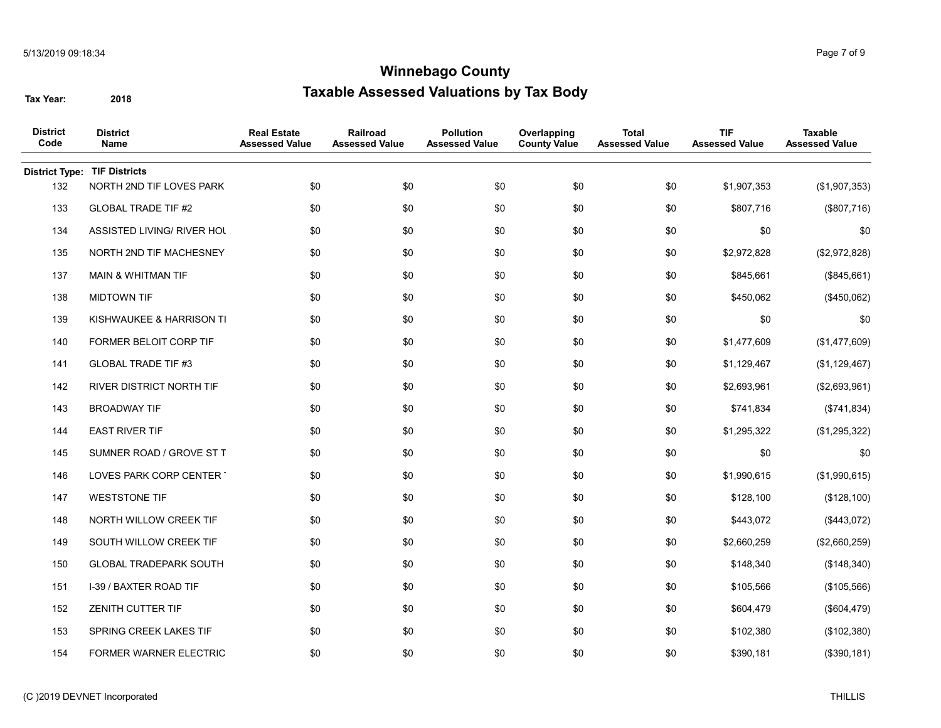| <b>District</b><br>Code | <b>District</b><br>Name         | <b>Real Estate</b><br><b>Assessed Value</b> | Railroad<br><b>Assessed Value</b> | <b>Pollution</b><br><b>Assessed Value</b> | Overlapping<br><b>County Value</b> | <b>Total</b><br><b>Assessed Value</b> | <b>TIF</b><br><b>Assessed Value</b> | Taxable<br><b>Assessed Value</b> |
|-------------------------|---------------------------------|---------------------------------------------|-----------------------------------|-------------------------------------------|------------------------------------|---------------------------------------|-------------------------------------|----------------------------------|
| <b>District Type:</b>   | <b>TIF Districts</b>            |                                             |                                   |                                           |                                    |                                       |                                     |                                  |
| 132                     | NORTH 2ND TIF LOVES PARK        | \$0                                         | \$0                               | \$0                                       | \$0                                | \$0                                   | \$1,907,353                         | (\$1,907,353)                    |
| 133                     | <b>GLOBAL TRADE TIF #2</b>      | \$0                                         | \$0                               | \$0                                       | \$0                                | \$0                                   | \$807,716                           | (\$807,716)                      |
| 134                     | ASSISTED LIVING/ RIVER HOL      | \$0                                         | \$0                               | \$0                                       | \$0                                | \$0                                   | \$0                                 | \$0                              |
| 135                     | NORTH 2ND TIF MACHESNEY         | \$0                                         | \$0                               | \$0                                       | \$0                                | \$0                                   | \$2,972,828                         | (\$2,972,828)                    |
| 137                     | <b>MAIN &amp; WHITMAN TIF</b>   | \$0                                         | \$0                               | \$0                                       | \$0                                | \$0                                   | \$845,661                           | (\$845,661)                      |
| 138                     | <b>MIDTOWN TIF</b>              | \$0                                         | \$0                               | \$0                                       | \$0                                | \$0                                   | \$450,062                           | (\$450,062)                      |
| 139                     | KISHWAUKEE & HARRISON TI        | \$0                                         | \$0                               | \$0                                       | \$0                                | \$0                                   | \$0                                 | \$0                              |
| 140                     | FORMER BELOIT CORP TIF          | \$0                                         | \$0                               | \$0                                       | \$0                                | \$0                                   | \$1,477,609                         | (\$1,477,609)                    |
| 141                     | <b>GLOBAL TRADE TIF #3</b>      | \$0                                         | \$0                               | \$0                                       | \$0                                | \$0                                   | \$1,129,467                         | (\$1,129,467)                    |
| 142                     | <b>RIVER DISTRICT NORTH TIF</b> | \$0                                         | \$0                               | \$0                                       | \$0                                | \$0                                   | \$2,693,961                         | (\$2,693,961)                    |
| 143                     | <b>BROADWAY TIF</b>             | \$0                                         | \$0                               | \$0                                       | \$0                                | \$0                                   | \$741,834                           | (\$741, 834)                     |
| 144                     | <b>EAST RIVER TIF</b>           | \$0                                         | \$0                               | \$0                                       | \$0                                | \$0                                   | \$1,295,322                         | (\$1,295,322)                    |
| 145                     | SUMNER ROAD / GROVE ST T        | \$0                                         | \$0                               | \$0                                       | \$0                                | \$0                                   | \$0                                 | \$0                              |
| 146                     | LOVES PARK CORP CENTER          | \$0                                         | \$0                               | \$0                                       | \$0                                | \$0                                   | \$1,990,615                         | (\$1,990,615)                    |
| 147                     | <b>WESTSTONE TIF</b>            | \$0                                         | \$0                               | \$0                                       | \$0                                | \$0                                   | \$128,100                           | (\$128,100)                      |
| 148                     | NORTH WILLOW CREEK TIF          | \$0                                         | \$0                               | \$0                                       | \$0                                | \$0                                   | \$443,072                           | (\$443,072)                      |
| 149                     | SOUTH WILLOW CREEK TIF          | \$0                                         | \$0                               | \$0                                       | \$0                                | \$0                                   | \$2,660,259                         | (\$2,660,259)                    |
| 150                     | <b>GLOBAL TRADEPARK SOUTH</b>   | \$0                                         | \$0                               | \$0                                       | \$0                                | \$0                                   | \$148,340                           | (\$148,340)                      |
| 151                     | I-39 / BAXTER ROAD TIF          | \$0                                         | \$0                               | \$0                                       | \$0                                | \$0                                   | \$105,566                           | (\$105,566)                      |
| 152                     | <b>ZENITH CUTTER TIF</b>        | \$0                                         | \$0                               | \$0                                       | \$0                                | \$0                                   | \$604,479                           | (\$604, 479)                     |
| 153                     | SPRING CREEK LAKES TIF          | \$0                                         | \$0                               | \$0                                       | \$0                                | \$0                                   | \$102,380                           | (\$102,380)                      |
| 154                     | <b>FORMER WARNER ELECTRIC</b>   | \$0                                         | \$0                               | \$0                                       | \$0                                | \$0                                   | \$390,181                           | (\$390, 181)                     |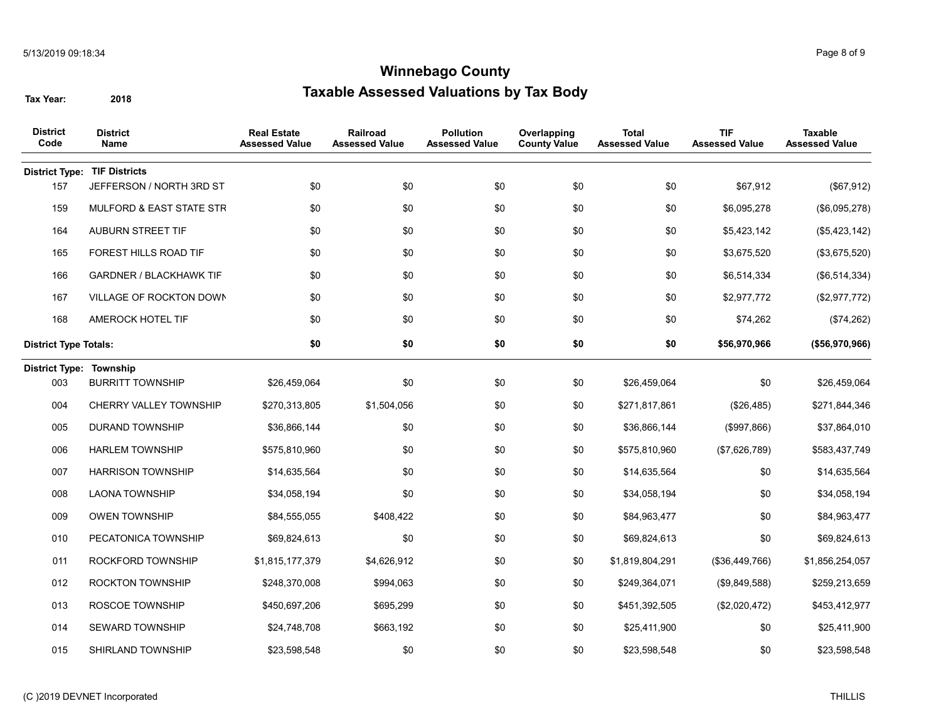| <b>District</b><br>Code      | <b>District</b><br><b>Name</b>      | <b>Real Estate</b><br><b>Assessed Value</b> | Railroad<br><b>Assessed Value</b> | <b>Pollution</b><br><b>Assessed Value</b> | Overlapping<br><b>County Value</b> | <b>Total</b><br><b>Assessed Value</b> | <b>TIF</b><br><b>Assessed Value</b> | <b>Taxable</b><br><b>Assessed Value</b> |
|------------------------------|-------------------------------------|---------------------------------------------|-----------------------------------|-------------------------------------------|------------------------------------|---------------------------------------|-------------------------------------|-----------------------------------------|
| <b>District Type:</b>        | <b>TIF Districts</b>                |                                             |                                   |                                           |                                    |                                       |                                     |                                         |
| 157                          | JEFFERSON / NORTH 3RD ST            | \$0                                         | \$0                               | \$0                                       | \$0                                | \$0                                   | \$67,912                            | (\$67,912)                              |
| 159                          | <b>MULFORD &amp; EAST STATE STR</b> | \$0                                         | \$0                               | \$0                                       | \$0                                | \$0                                   | \$6,095,278                         | (\$6,095,278)                           |
| 164                          | <b>AUBURN STREET TIF</b>            | \$0                                         | \$0                               | \$0                                       | \$0                                | \$0                                   | \$5,423,142                         | (\$5,423,142)                           |
| 165                          | FOREST HILLS ROAD TIF               | \$0                                         | \$0                               | \$0                                       | \$0                                | \$0                                   | \$3,675,520                         | (\$3,675,520)                           |
| 166                          | <b>GARDNER / BLACKHAWK TIF</b>      | \$0                                         | \$0                               | \$0                                       | \$0                                | \$0                                   | \$6,514,334                         | (\$6,514,334)                           |
| 167                          | VILLAGE OF ROCKTON DOWN             | \$0                                         | \$0                               | \$0                                       | \$0                                | \$0                                   | \$2,977,772                         | (\$2,977,772)                           |
| 168                          | AMEROCK HOTEL TIF                   | \$0                                         | \$0                               | \$0                                       | \$0                                | \$0                                   | \$74,262                            | (\$74,262)                              |
| <b>District Type Totals:</b> |                                     | \$0                                         | \$0                               | \$0                                       | \$0                                | \$0                                   | \$56,970,966                        | (\$56,970,966)                          |
| District Type: Township      |                                     |                                             |                                   |                                           |                                    |                                       |                                     |                                         |
| 003                          | <b>BURRITT TOWNSHIP</b>             | \$26,459,064                                | \$0                               | \$0                                       | \$0                                | \$26,459,064                          | \$0                                 | \$26,459,064                            |
| 004                          | CHERRY VALLEY TOWNSHIP              | \$270,313,805                               | \$1,504,056                       | \$0                                       | \$0                                | \$271,817,861                         | (\$26,485)                          | \$271,844,346                           |
| 005                          | <b>DURAND TOWNSHIP</b>              | \$36,866,144                                | \$0                               | \$0                                       | \$0                                | \$36,866,144                          | (\$997,866)                         | \$37,864,010                            |
| 006                          | <b>HARLEM TOWNSHIP</b>              | \$575,810,960                               | \$0                               | \$0                                       | \$0                                | \$575,810,960                         | (\$7,626,789)                       | \$583,437,749                           |
| 007                          | <b>HARRISON TOWNSHIP</b>            | \$14,635,564                                | \$0                               | \$0                                       | \$0                                | \$14,635,564                          | \$0                                 | \$14,635,564                            |
| 008                          | <b>LAONA TOWNSHIP</b>               | \$34,058,194                                | \$0                               | \$0                                       | \$0                                | \$34,058,194                          | \$0                                 | \$34,058,194                            |
| 009                          | <b>OWEN TOWNSHIP</b>                | \$84,555,055                                | \$408,422                         | \$0                                       | \$0                                | \$84,963,477                          | \$0                                 | \$84,963,477                            |
| 010                          | PECATONICA TOWNSHIP                 | \$69,824,613                                | \$0                               | \$0                                       | \$0                                | \$69,824,613                          | \$0                                 | \$69,824,613                            |
| 011                          | ROCKFORD TOWNSHIP                   | \$1,815,177,379                             | \$4,626,912                       | \$0                                       | \$0                                | \$1,819,804,291                       | (\$36,449,766)                      | \$1,856,254,057                         |
| 012                          | <b>ROCKTON TOWNSHIP</b>             | \$248,370,008                               | \$994,063                         | \$0                                       | \$0                                | \$249,364,071                         | (\$9,849,588)                       | \$259,213,659                           |
| 013                          | ROSCOE TOWNSHIP                     | \$450,697,206                               | \$695,299                         | \$0                                       | \$0                                | \$451,392,505                         | (\$2,020,472)                       | \$453,412,977                           |
| 014                          | <b>SEWARD TOWNSHIP</b>              | \$24,748,708                                | \$663,192                         | \$0                                       | \$0                                | \$25,411,900                          | \$0                                 | \$25,411,900                            |
| 015                          | <b>SHIRLAND TOWNSHIP</b>            | \$23,598,548                                | \$0                               | \$0                                       | \$0                                | \$23,598,548                          | \$0                                 | \$23,598,548                            |